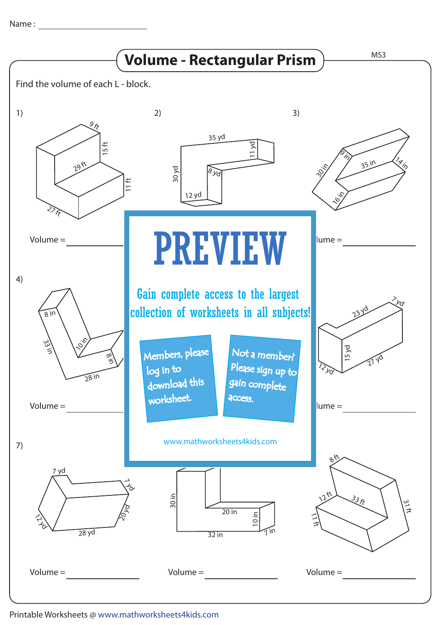Name :